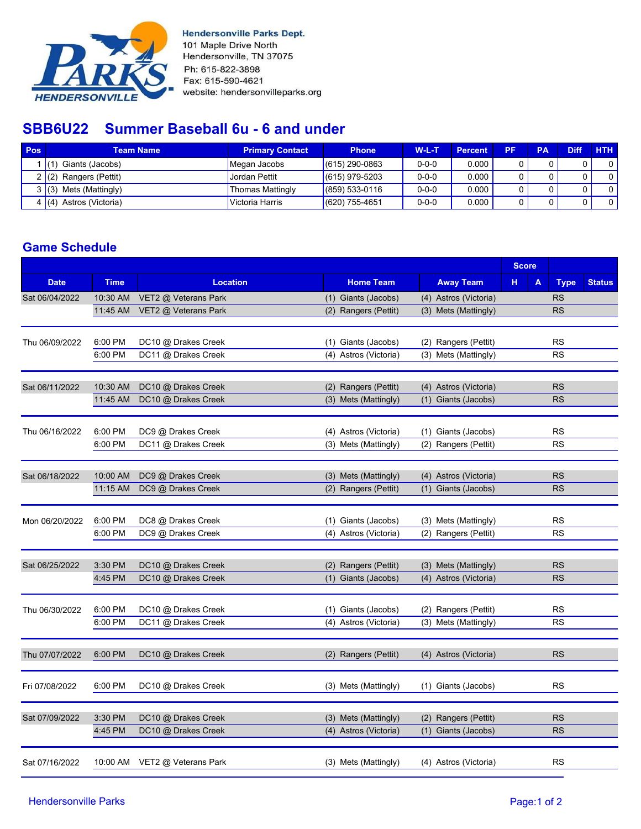

**Hendersonville Parks Dept.** 101 Maple Drive North Hendersonville, TN 37075 Ph: 615-822-3898 Fax: 615-590-4621 website: hendersonvilleparks.org

## **SBB6U22 Summer Baseball 6u - 6 and under**

| Pos | <b>Team Name</b>           | <b>Primary Contact</b> | <b>Phone</b>       | $W-L-T$     | <b>Percent</b> | PF | PA | <b>Diff</b> | <b>HTH</b> |
|-----|----------------------------|------------------------|--------------------|-------------|----------------|----|----|-------------|------------|
|     | Giants (Jacobs)            | Megan Jacobs           | $(615)$ 290-0863   | $0 - 0 - 0$ | 0.000          |    |    |             |            |
|     | Rangers (Pettit)<br>2 (2)  | <b>Jordan Pettit</b>   | $(615)$ 979-5203   | $0 - 0 - 0$ | 0.000          |    |    |             |            |
|     | Mets (Mattingly)<br>3(3)   | Thomas Mattingly       | $(859) 533 - 0116$ | $0 - 0 - 0$ | 0.000          |    |    |             |            |
|     | Astros (Victoria)<br>4 (4) | Victoria Harris        | $(620)$ 755-4651   | $0 - 0 - 0$ | 0.000          |    |    |             |            |

## **Game Schedule**

|                |             |                               |                       | <b>Score</b>          |         |             |               |
|----------------|-------------|-------------------------------|-----------------------|-----------------------|---------|-------------|---------------|
| <b>Date</b>    | <b>Time</b> | <b>Location</b>               | <b>Home Team</b>      | <b>Away Team</b>      | н.<br>A | <b>Type</b> | <b>Status</b> |
| Sat 06/04/2022 | 10:30 AM    | VET2 @ Veterans Park          | (1) Giants (Jacobs)   | (4) Astros (Victoria) |         | RS          |               |
|                | 11:45 AM    | VET2 @ Veterans Park          | (2) Rangers (Pettit)  | (3) Mets (Mattingly)  |         | <b>RS</b>   |               |
| Thu 06/09/2022 | 6:00 PM     | DC10 @ Drakes Creek           | (1) Giants (Jacobs)   | (2) Rangers (Pettit)  |         | <b>RS</b>   |               |
|                | 6:00 PM     | DC11 @ Drakes Creek           | (4) Astros (Victoria) | (3) Mets (Mattingly)  |         | <b>RS</b>   |               |
| Sat 06/11/2022 | 10:30 AM    | DC10 @ Drakes Creek           | (2) Rangers (Pettit)  | (4) Astros (Victoria) |         | <b>RS</b>   |               |
|                | 11:45 AM    | DC10 @ Drakes Creek           | (3) Mets (Mattingly)  | (1) Giants (Jacobs)   |         | <b>RS</b>   |               |
| Thu 06/16/2022 | 6:00 PM     | DC9 @ Drakes Creek            | (4) Astros (Victoria) | (1) Giants (Jacobs)   |         | <b>RS</b>   |               |
|                | 6:00 PM     | DC11 @ Drakes Creek           | (3) Mets (Mattingly)  | (2) Rangers (Pettit)  |         | <b>RS</b>   |               |
| Sat 06/18/2022 | 10:00 AM    | DC9 @ Drakes Creek            | (3) Mets (Mattingly)  | (4) Astros (Victoria) |         | <b>RS</b>   |               |
|                | 11:15 AM    | DC9 @ Drakes Creek            | (2) Rangers (Pettit)  | (1) Giants (Jacobs)   |         | <b>RS</b>   |               |
| Mon 06/20/2022 | 6:00 PM     | DC8 @ Drakes Creek            | (1) Giants (Jacobs)   | (3) Mets (Mattingly)  |         | <b>RS</b>   |               |
|                | 6:00 PM     | DC9 @ Drakes Creek            | (4) Astros (Victoria) | (2) Rangers (Pettit)  |         | <b>RS</b>   |               |
| Sat 06/25/2022 | 3:30 PM     | DC10 @ Drakes Creek           | (2) Rangers (Pettit)  | (3) Mets (Mattingly)  |         | <b>RS</b>   |               |
|                | 4:45 PM     | DC10 @ Drakes Creek           | (1) Giants (Jacobs)   | (4) Astros (Victoria) |         | <b>RS</b>   |               |
| Thu 06/30/2022 | 6:00 PM     | DC10 @ Drakes Creek           | (1) Giants (Jacobs)   | (2) Rangers (Pettit)  |         | <b>RS</b>   |               |
|                | 6:00 PM     | DC11 @ Drakes Creek           | (4) Astros (Victoria) | (3) Mets (Mattingly)  |         | <b>RS</b>   |               |
| Thu 07/07/2022 | 6:00 PM     | DC10 @ Drakes Creek           | (2) Rangers (Pettit)  | (4) Astros (Victoria) |         | <b>RS</b>   |               |
| Fri 07/08/2022 | 6:00 PM     | DC10 @ Drakes Creek           | (3) Mets (Mattingly)  | (1) Giants (Jacobs)   |         | <b>RS</b>   |               |
| Sat 07/09/2022 | 3:30 PM     | DC10 @ Drakes Creek           | (3) Mets (Mattingly)  | (2) Rangers (Pettit)  |         | <b>RS</b>   |               |
|                | 4:45 PM     | DC10 @ Drakes Creek           | (4) Astros (Victoria) | (1) Giants (Jacobs)   |         | <b>RS</b>   |               |
| Sat 07/16/2022 |             | 10:00 AM VET2 @ Veterans Park | (3) Mets (Mattingly)  | (4) Astros (Victoria) |         | <b>RS</b>   |               |